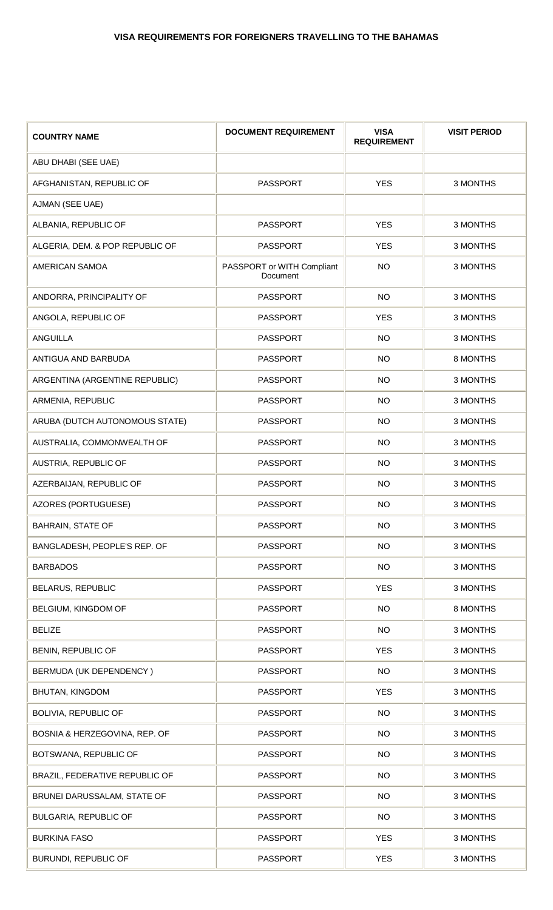| <b>COUNTRY NAME</b>             | <b>DOCUMENT REQUIREMENT</b>            | <b>VISA</b><br><b>REQUIREMENT</b> | <b>VISIT PERIOD</b> |
|---------------------------------|----------------------------------------|-----------------------------------|---------------------|
| ABU DHABI (SEE UAE)             |                                        |                                   |                     |
| AFGHANISTAN, REPUBLIC OF        | <b>PASSPORT</b>                        | <b>YES</b>                        | 3 MONTHS            |
| AJMAN (SEE UAE)                 |                                        |                                   |                     |
| ALBANIA, REPUBLIC OF            | <b>PASSPORT</b>                        | <b>YES</b>                        | 3 MONTHS            |
| ALGERIA, DEM. & POP REPUBLIC OF | <b>PASSPORT</b>                        | <b>YES</b>                        | 3 MONTHS            |
| AMERICAN SAMOA                  | PASSPORT or WITH Compliant<br>Document | <b>NO</b>                         | 3 MONTHS            |
| ANDORRA, PRINCIPALITY OF        | <b>PASSPORT</b>                        | <b>NO</b>                         | 3 MONTHS            |
| ANGOLA, REPUBLIC OF             | <b>PASSPORT</b>                        | <b>YES</b>                        | 3 MONTHS            |
| <b>ANGUILLA</b>                 | <b>PASSPORT</b>                        | <b>NO</b>                         | 3 MONTHS            |
| ANTIGUA AND BARBUDA             | <b>PASSPORT</b>                        | <b>NO</b>                         | 8 MONTHS            |
| ARGENTINA (ARGENTINE REPUBLIC)  | <b>PASSPORT</b>                        | <b>NO</b>                         | 3 MONTHS            |
| ARMENIA, REPUBLIC               | <b>PASSPORT</b>                        | <b>NO</b>                         | 3 MONTHS            |
| ARUBA (DUTCH AUTONOMOUS STATE)  | <b>PASSPORT</b>                        | <b>NO</b>                         | 3 MONTHS            |
| AUSTRALIA, COMMONWEALTH OF      | <b>PASSPORT</b>                        | <b>NO</b>                         | 3 MONTHS            |
| AUSTRIA, REPUBLIC OF            | <b>PASSPORT</b>                        | <b>NO</b>                         | 3 MONTHS            |
| AZERBAIJAN, REPUBLIC OF         | <b>PASSPORT</b>                        | <b>NO</b>                         | 3 MONTHS            |
| AZORES (PORTUGUESE)             | <b>PASSPORT</b>                        | <b>NO</b>                         | 3 MONTHS            |
| <b>BAHRAIN, STATE OF</b>        | PASSPORT                               | <b>NO</b>                         | 3 MONTHS            |
| BANGLADESH, PEOPLE'S REP. OF    | <b>PASSPORT</b>                        | <b>NO</b>                         | 3 MONTHS            |
| <b>BARBADOS</b>                 | <b>PASSPORT</b>                        | <b>NO</b>                         | 3 MONTHS            |
| <b>BELARUS, REPUBLIC</b>        | <b>PASSPORT</b>                        | <b>YES</b>                        | 3 MONTHS            |
| BELGIUM, KINGDOM OF             | <b>PASSPORT</b>                        | <b>NO</b>                         | 8 MONTHS            |
| <b>BELIZE</b>                   | <b>PASSPORT</b>                        | <b>NO</b>                         | 3 MONTHS            |
| BENIN, REPUBLIC OF              | <b>PASSPORT</b>                        | <b>YES</b>                        | 3 MONTHS            |
| BERMUDA (UK DEPENDENCY)         | <b>PASSPORT</b>                        | <b>NO</b>                         | 3 MONTHS            |
| BHUTAN, KINGDOM                 | <b>PASSPORT</b>                        | <b>YES</b>                        | 3 MONTHS            |
| <b>BOLIVIA, REPUBLIC OF</b>     | <b>PASSPORT</b>                        | <b>NO</b>                         | 3 MONTHS            |
| BOSNIA & HERZEGOVINA, REP. OF   | <b>PASSPORT</b>                        | <b>NO</b>                         | 3 MONTHS            |
| BOTSWANA, REPUBLIC OF           | <b>PASSPORT</b>                        | <b>NO</b>                         | 3 MONTHS            |
| BRAZIL, FEDERATIVE REPUBLIC OF  | <b>PASSPORT</b>                        | <b>NO</b>                         | 3 MONTHS            |
| BRUNEI DARUSSALAM, STATE OF     | <b>PASSPORT</b>                        | <b>NO</b>                         | 3 MONTHS            |
| BULGARIA, REPUBLIC OF           | <b>PASSPORT</b>                        | <b>NO</b>                         | 3 MONTHS            |
| <b>BURKINA FASO</b>             | <b>PASSPORT</b>                        | <b>YES</b>                        | 3 MONTHS            |
| BURUNDI, REPUBLIC OF            | <b>PASSPORT</b>                        | <b>YES</b>                        | 3 MONTHS            |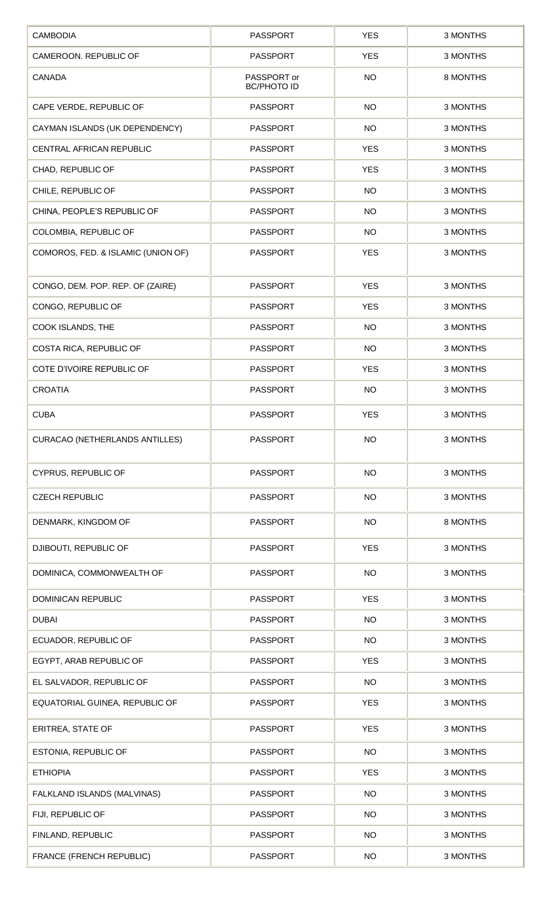| <b>CAMBODIA</b>                       | <b>PASSPORT</b>                   | <b>YES</b> | 3 MONTHS |
|---------------------------------------|-----------------------------------|------------|----------|
| CAMEROON. REPUBLIC OF                 | <b>PASSPORT</b>                   | <b>YES</b> | 3 MONTHS |
| <b>CANADA</b>                         | PASSPORT or<br><b>BC/PHOTO ID</b> | <b>NO</b>  | 8 MONTHS |
| CAPE VERDE, REPUBLIC OF               | <b>PASSPORT</b>                   | <b>NO</b>  | 3 MONTHS |
| CAYMAN ISLANDS (UK DEPENDENCY)        | <b>PASSPORT</b>                   | <b>NO</b>  | 3 MONTHS |
| CENTRAL AFRICAN REPUBLIC              | <b>PASSPORT</b>                   | <b>YES</b> | 3 MONTHS |
| CHAD, REPUBLIC OF                     | <b>PASSPORT</b>                   | <b>YES</b> | 3 MONTHS |
| CHILE, REPUBLIC OF                    | <b>PASSPORT</b>                   | <b>NO</b>  | 3 MONTHS |
| CHINA, PEOPLE'S REPUBLIC OF           | <b>PASSPORT</b>                   | <b>NO</b>  | 3 MONTHS |
| COLOMBIA, REPUBLIC OF                 | <b>PASSPORT</b>                   | <b>NO</b>  | 3 MONTHS |
| COMOROS, FED. & ISLAMIC (UNION OF)    | <b>PASSPORT</b>                   | <b>YES</b> | 3 MONTHS |
| CONGO, DEM. POP. REP. OF (ZAIRE)      | <b>PASSPORT</b>                   | <b>YES</b> | 3 MONTHS |
| CONGO, REPUBLIC OF                    | <b>PASSPORT</b>                   | <b>YES</b> | 3 MONTHS |
| COOK ISLANDS, THE                     | <b>PASSPORT</b>                   | <b>NO</b>  | 3 MONTHS |
| COSTA RICA, REPUBLIC OF               | <b>PASSPORT</b>                   | <b>NO</b>  | 3 MONTHS |
| COTE D'IVOIRE REPUBLIC OF             | <b>PASSPORT</b>                   | <b>YES</b> | 3 MONTHS |
| <b>CROATIA</b>                        | <b>PASSPORT</b>                   | <b>NO</b>  | 3 MONTHS |
| <b>CUBA</b>                           | <b>PASSPORT</b>                   | <b>YES</b> | 3 MONTHS |
| <b>CURACAO (NETHERLANDS ANTILLES)</b> | <b>PASSPORT</b>                   | <b>NO</b>  | 3 MONTHS |
| CYPRUS, REPUBLIC OF                   | <b>PASSPORT</b>                   | <b>NO</b>  | 3 MONTHS |
| <b>CZECH REPUBLIC</b>                 | <b>PASSPORT</b>                   | <b>NO</b>  | 3 MONTHS |
| DENMARK, KINGDOM OF                   | <b>PASSPORT</b>                   | <b>NO</b>  | 8 MONTHS |
| DJIBOUTI, REPUBLIC OF                 | <b>PASSPORT</b>                   | <b>YES</b> | 3 MONTHS |
| DOMINICA, COMMONWEALTH OF             | <b>PASSPORT</b>                   | <b>NO</b>  | 3 MONTHS |
| <b>DOMINICAN REPUBLIC</b>             | <b>PASSPORT</b>                   | <b>YES</b> | 3 MONTHS |
| <b>DUBAI</b>                          | PASSPORT                          | <b>NO</b>  | 3 MONTHS |
| ECUADOR, REPUBLIC OF                  | <b>PASSPORT</b>                   | <b>NO</b>  | 3 MONTHS |
| EGYPT, ARAB REPUBLIC OF               | <b>PASSPORT</b>                   | <b>YES</b> | 3 MONTHS |
| EL SALVADOR, REPUBLIC OF              | <b>PASSPORT</b>                   | <b>NO</b>  | 3 MONTHS |
| EQUATORIAL GUINEA, REPUBLIC OF        | <b>PASSPORT</b>                   | <b>YES</b> | 3 MONTHS |
| ERITREA, STATE OF                     | <b>PASSPORT</b>                   | <b>YES</b> | 3 MONTHS |
| ESTONIA, REPUBLIC OF                  | <b>PASSPORT</b>                   | <b>NO</b>  | 3 MONTHS |
| <b>ETHIOPIA</b>                       | <b>PASSPORT</b>                   | <b>YES</b> | 3 MONTHS |
| FALKLAND ISLANDS (MALVINAS)           | <b>PASSPORT</b>                   | <b>NO</b>  | 3 MONTHS |
| FIJI, REPUBLIC OF                     | <b>PASSPORT</b>                   | <b>NO</b>  | 3 MONTHS |
| FINLAND, REPUBLIC                     | PASSPORT                          | <b>NO</b>  | 3 MONTHS |
| FRANCE (FRENCH REPUBLIC)              | <b>PASSPORT</b>                   | <b>NO</b>  | 3 MONTHS |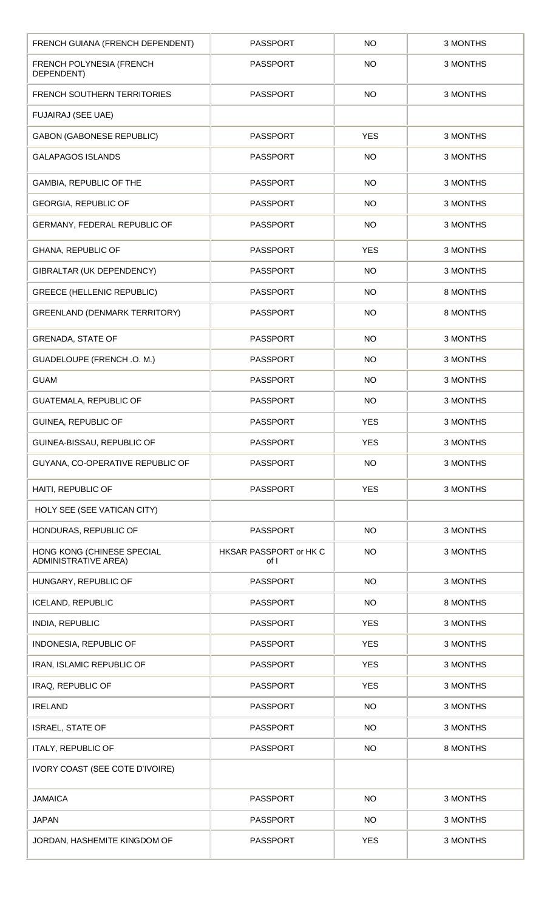| FRENCH GUIANA (FRENCH DEPENDENT)                          | <b>PASSPORT</b>                | <b>NO</b>  | 3 MONTHS |
|-----------------------------------------------------------|--------------------------------|------------|----------|
| FRENCH POLYNESIA (FRENCH<br>DEPENDENT)                    | <b>PASSPORT</b>                | <b>NO</b>  | 3 MONTHS |
| <b>FRENCH SOUTHERN TERRITORIES</b>                        | <b>PASSPORT</b>                | <b>NO</b>  | 3 MONTHS |
| <b>FUJAIRAJ (SEE UAE)</b>                                 |                                |            |          |
| <b>GABON (GABONESE REPUBLIC)</b>                          | <b>PASSPORT</b>                | <b>YES</b> | 3 MONTHS |
| <b>GALAPAGOS ISLANDS</b>                                  | <b>PASSPORT</b>                | NO         | 3 MONTHS |
| GAMBIA, REPUBLIC OF THE                                   | <b>PASSPORT</b>                | <b>NO</b>  | 3 MONTHS |
| <b>GEORGIA, REPUBLIC OF</b>                               | <b>PASSPORT</b>                | <b>NO</b>  | 3 MONTHS |
| GERMANY, FEDERAL REPUBLIC OF                              | <b>PASSPORT</b>                | <b>NO</b>  | 3 MONTHS |
| GHANA, REPUBLIC OF                                        | <b>PASSPORT</b>                | <b>YES</b> | 3 MONTHS |
| GIBRALTAR (UK DEPENDENCY)                                 | <b>PASSPORT</b>                | <b>NO</b>  | 3 MONTHS |
| <b>GREECE (HELLENIC REPUBLIC)</b>                         | <b>PASSPORT</b>                | NO         | 8 MONTHS |
| GREENLAND (DENMARK TERRITORY)                             | <b>PASSPORT</b>                | <b>NO</b>  | 8 MONTHS |
| <b>GRENADA, STATE OF</b>                                  | <b>PASSPORT</b>                | <b>NO</b>  | 3 MONTHS |
| GUADELOUPE (FRENCH.O.M.)                                  | <b>PASSPORT</b>                | <b>NO</b>  | 3 MONTHS |
| <b>GUAM</b>                                               | <b>PASSPORT</b>                | <b>NO</b>  | 3 MONTHS |
| GUATEMALA, REPUBLIC OF                                    | <b>PASSPORT</b>                | NO         | 3 MONTHS |
| GUINEA, REPUBLIC OF                                       | <b>PASSPORT</b>                | <b>YES</b> | 3 MONTHS |
| GUINEA-BISSAU, REPUBLIC OF                                | PASSPORT                       | <b>YES</b> | 3 MONTHS |
| GUYANA, CO-OPERATIVE REPUBLIC OF                          | <b>PASSPORT</b>                | <b>NO</b>  | 3 MONTHS |
| HAITI, REPUBLIC OF                                        | <b>PASSPORT</b>                | <b>YES</b> | 3 MONTHS |
| HOLY SEE (SEE VATICAN CITY)                               |                                |            |          |
| HONDURAS, REPUBLIC OF                                     | <b>PASSPORT</b>                | <b>NO</b>  | 3 MONTHS |
| HONG KONG (CHINESE SPECIAL<br><b>ADMINISTRATIVE AREA)</b> | HKSAR PASSPORT or HK C<br>of I | <b>NO</b>  | 3 MONTHS |
| HUNGARY, REPUBLIC OF                                      | <b>PASSPORT</b>                | <b>NO</b>  | 3 MONTHS |
| <b>ICELAND, REPUBLIC</b>                                  | <b>PASSPORT</b>                | <b>NO</b>  | 8 MONTHS |
| INDIA, REPUBLIC                                           | <b>PASSPORT</b>                | <b>YES</b> | 3 MONTHS |
| INDONESIA, REPUBLIC OF                                    | <b>PASSPORT</b>                | <b>YES</b> | 3 MONTHS |
| IRAN, ISLAMIC REPUBLIC OF                                 | <b>PASSPORT</b>                | <b>YES</b> | 3 MONTHS |
| IRAQ, REPUBLIC OF                                         | <b>PASSPORT</b>                | <b>YES</b> | 3 MONTHS |
| <b>IRELAND</b>                                            | <b>PASSPORT</b>                | <b>NO</b>  | 3 MONTHS |
| <b>ISRAEL, STATE OF</b>                                   | PASSPORT                       | <b>NO</b>  | 3 MONTHS |
| <b>ITALY, REPUBLIC OF</b>                                 | <b>PASSPORT</b>                | <b>NO</b>  | 8 MONTHS |
| IVORY COAST (SEE COTE D'IVOIRE)                           |                                |            |          |
| <b>JAMAICA</b>                                            | PASSPORT                       | <b>NO</b>  | 3 MONTHS |
| <b>JAPAN</b>                                              | <b>PASSPORT</b>                | <b>NO</b>  | 3 MONTHS |
| JORDAN, HASHEMITE KINGDOM OF                              | <b>PASSPORT</b>                | <b>YES</b> | 3 MONTHS |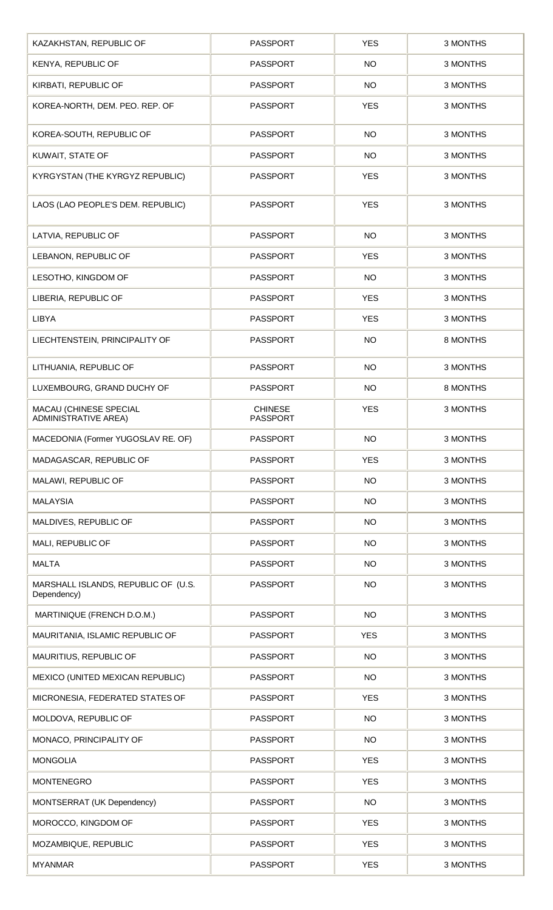| KAZAKHSTAN, REPUBLIC OF                               | <b>PASSPORT</b>                   | <b>YES</b> | 3 MONTHS |
|-------------------------------------------------------|-----------------------------------|------------|----------|
| KENYA, REPUBLIC OF                                    | <b>PASSPORT</b>                   | <b>NO</b>  | 3 MONTHS |
| KIRBATI, REPUBLIC OF                                  | <b>PASSPORT</b>                   | <b>NO</b>  | 3 MONTHS |
| KOREA-NORTH, DEM. PEO. REP. OF                        | <b>PASSPORT</b>                   | <b>YES</b> | 3 MONTHS |
| KOREA-SOUTH, REPUBLIC OF                              | <b>PASSPORT</b>                   | <b>NO</b>  | 3 MONTHS |
| KUWAIT, STATE OF                                      | <b>PASSPORT</b>                   | <b>NO</b>  | 3 MONTHS |
| KYRGYSTAN (THE KYRGYZ REPUBLIC)                       | <b>PASSPORT</b>                   | <b>YES</b> | 3 MONTHS |
| LAOS (LAO PEOPLE'S DEM. REPUBLIC)                     | <b>PASSPORT</b>                   | <b>YES</b> | 3 MONTHS |
| LATVIA, REPUBLIC OF                                   | <b>PASSPORT</b>                   | <b>NO</b>  | 3 MONTHS |
| LEBANON, REPUBLIC OF                                  | <b>PASSPORT</b>                   | <b>YES</b> | 3 MONTHS |
| LESOTHO, KINGDOM OF                                   | <b>PASSPORT</b>                   | <b>NO</b>  | 3 MONTHS |
| LIBERIA, REPUBLIC OF                                  | <b>PASSPORT</b>                   | <b>YES</b> | 3 MONTHS |
| <b>LIBYA</b>                                          | <b>PASSPORT</b>                   | <b>YES</b> | 3 MONTHS |
| LIECHTENSTEIN, PRINCIPALITY OF                        | <b>PASSPORT</b>                   | <b>NO</b>  | 8 MONTHS |
| LITHUANIA, REPUBLIC OF                                | <b>PASSPORT</b>                   | <b>NO</b>  | 3 MONTHS |
| LUXEMBOURG, GRAND DUCHY OF                            | <b>PASSPORT</b>                   | NO         | 8 MONTHS |
| MACAU (CHINESE SPECIAL<br><b>ADMINISTRATIVE AREA)</b> | <b>CHINESE</b><br><b>PASSPORT</b> | <b>YES</b> | 3 MONTHS |
| MACEDONIA (Former YUGOSLAV RE. OF)                    | PASSPORT                          | <b>NO</b>  | 3 MONTHS |
| MADAGASCAR, REPUBLIC OF                               | <b>PASSPORT</b>                   | <b>YES</b> | 3 MONTHS |
| MALAWI, REPUBLIC OF                                   | <b>PASSPORT</b>                   | <b>NO</b>  | 3 MONTHS |
| <b>MALAYSIA</b>                                       | <b>PASSPORT</b>                   | <b>NO</b>  | 3 MONTHS |
| MALDIVES, REPUBLIC OF                                 | <b>PASSPORT</b>                   | <b>NO</b>  | 3 MONTHS |
| MALI, REPUBLIC OF                                     | <b>PASSPORT</b>                   | <b>NO</b>  | 3 MONTHS |
| <b>MALTA</b>                                          | <b>PASSPORT</b>                   | <b>NO</b>  | 3 MONTHS |
| MARSHALL ISLANDS, REPUBLIC OF (U.S.<br>Dependency)    | <b>PASSPORT</b>                   | <b>NO</b>  | 3 MONTHS |
| MARTINIQUE (FRENCH D.O.M.)                            | <b>PASSPORT</b>                   | <b>NO</b>  | 3 MONTHS |
| MAURITANIA, ISLAMIC REPUBLIC OF                       | <b>PASSPORT</b>                   | <b>YES</b> | 3 MONTHS |
| MAURITIUS, REPUBLIC OF                                | <b>PASSPORT</b>                   | <b>NO</b>  | 3 MONTHS |
| MEXICO (UNITED MEXICAN REPUBLIC)                      | <b>PASSPORT</b>                   | <b>NO</b>  | 3 MONTHS |
| MICRONESIA, FEDERATED STATES OF                       | <b>PASSPORT</b>                   | <b>YES</b> | 3 MONTHS |
| MOLDOVA, REPUBLIC OF                                  | <b>PASSPORT</b>                   | <b>NO</b>  | 3 MONTHS |
| MONACO, PRINCIPALITY OF                               | <b>PASSPORT</b>                   | <b>NO</b>  | 3 MONTHS |
| <b>MONGOLIA</b>                                       | <b>PASSPORT</b>                   | <b>YES</b> | 3 MONTHS |
| <b>MONTENEGRO</b>                                     | <b>PASSPORT</b>                   | <b>YES</b> | 3 MONTHS |
| MONTSERRAT (UK Dependency)                            | <b>PASSPORT</b>                   | <b>NO</b>  | 3 MONTHS |
| MOROCCO, KINGDOM OF                                   | <b>PASSPORT</b>                   | <b>YES</b> | 3 MONTHS |
| MOZAMBIQUE, REPUBLIC                                  | PASSPORT                          | <b>YES</b> | 3 MONTHS |
| <b>MYANMAR</b>                                        | <b>PASSPORT</b>                   | <b>YES</b> | 3 MONTHS |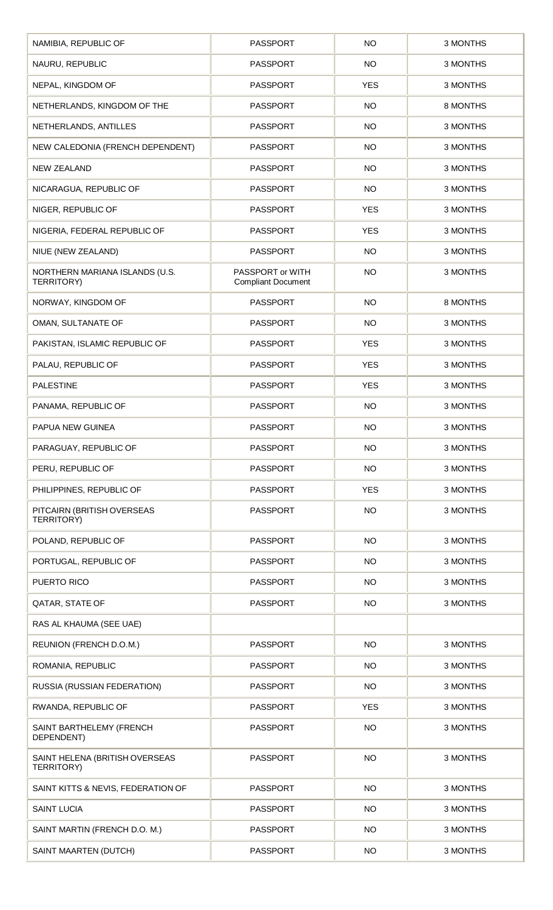| NAMIBIA, REPUBLIC OF                                | <b>PASSPORT</b>                               | <b>NO</b>  | 3 MONTHS |
|-----------------------------------------------------|-----------------------------------------------|------------|----------|
| NAURU, REPUBLIC                                     | <b>PASSPORT</b>                               | <b>NO</b>  | 3 MONTHS |
| NEPAL, KINGDOM OF                                   | <b>PASSPORT</b>                               | <b>YES</b> | 3 MONTHS |
| NETHERLANDS, KINGDOM OF THE                         | <b>PASSPORT</b>                               | <b>NO</b>  | 8 MONTHS |
| NETHERLANDS, ANTILLES                               | <b>PASSPORT</b>                               | <b>NO</b>  | 3 MONTHS |
| NEW CALEDONIA (FRENCH DEPENDENT)                    | <b>PASSPORT</b>                               | <b>NO</b>  | 3 MONTHS |
| <b>NEW ZEALAND</b>                                  | <b>PASSPORT</b>                               | <b>NO</b>  | 3 MONTHS |
| NICARAGUA, REPUBLIC OF                              | <b>PASSPORT</b>                               | <b>NO</b>  | 3 MONTHS |
| NIGER, REPUBLIC OF                                  | <b>PASSPORT</b>                               | <b>YES</b> | 3 MONTHS |
| NIGERIA, FEDERAL REPUBLIC OF                        | <b>PASSPORT</b>                               | <b>YES</b> | 3 MONTHS |
| NIUE (NEW ZEALAND)                                  | <b>PASSPORT</b>                               | <b>NO</b>  | 3 MONTHS |
| NORTHERN MARIANA ISLANDS (U.S.<br>TERRITORY)        | PASSPORT or WITH<br><b>Compliant Document</b> | <b>NO</b>  | 3 MONTHS |
| NORWAY, KINGDOM OF                                  | <b>PASSPORT</b>                               | <b>NO</b>  | 8 MONTHS |
| OMAN, SULTANATE OF                                  | <b>PASSPORT</b>                               | <b>NO</b>  | 3 MONTHS |
| PAKISTAN, ISLAMIC REPUBLIC OF                       | <b>PASSPORT</b>                               | <b>YES</b> | 3 MONTHS |
| PALAU, REPUBLIC OF                                  | <b>PASSPORT</b>                               | <b>YES</b> | 3 MONTHS |
| <b>PALESTINE</b>                                    | <b>PASSPORT</b>                               | <b>YES</b> | 3 MONTHS |
| PANAMA, REPUBLIC OF                                 | <b>PASSPORT</b>                               | <b>NO</b>  | 3 MONTHS |
| PAPUA NEW GUINEA                                    | <b>PASSPORT</b>                               | <b>NO</b>  | 3 MONTHS |
| PARAGUAY, REPUBLIC OF                               | <b>PASSPORT</b>                               | <b>NO</b>  | 3 MONTHS |
| PERU, REPUBLIC OF                                   | <b>PASSPORT</b>                               | <b>NO</b>  | 3 MONTHS |
| PHILIPPINES, REPUBLIC OF                            | <b>PASSPORT</b>                               | <b>YES</b> | 3 MONTHS |
| PITCAIRN (BRITISH OVERSEAS<br>TERRITORY)            | <b>PASSPORT</b>                               | <b>NO</b>  | 3 MONTHS |
| POLAND, REPUBLIC OF                                 | <b>PASSPORT</b>                               | <b>NO</b>  | 3 MONTHS |
| PORTUGAL, REPUBLIC OF                               | <b>PASSPORT</b>                               | <b>NO</b>  | 3 MONTHS |
| PUERTO RICO                                         | <b>PASSPORT</b>                               | NO         | 3 MONTHS |
| QATAR, STATE OF                                     | <b>PASSPORT</b>                               | <b>NO</b>  | 3 MONTHS |
| RAS AL KHAUMA (SEE UAE)                             |                                               |            |          |
| REUNION (FRENCH D.O.M.)                             | <b>PASSPORT</b>                               | <b>NO</b>  | 3 MONTHS |
| ROMANIA, REPUBLIC                                   | <b>PASSPORT</b>                               | <b>NO</b>  | 3 MONTHS |
| RUSSIA (RUSSIAN FEDERATION)                         | <b>PASSPORT</b>                               | <b>NO</b>  | 3 MONTHS |
| RWANDA, REPUBLIC OF                                 | <b>PASSPORT</b>                               | <b>YES</b> | 3 MONTHS |
| SAINT BARTHELEMY (FRENCH<br>DEPENDENT)              | <b>PASSPORT</b>                               | <b>NO</b>  | 3 MONTHS |
| SAINT HELENA (BRITISH OVERSEAS<br><b>TERRITORY)</b> | <b>PASSPORT</b>                               | <b>NO</b>  | 3 MONTHS |
| SAINT KITTS & NEVIS, FEDERATION OF                  | <b>PASSPORT</b>                               | <b>NO</b>  | 3 MONTHS |
| <b>SAINT LUCIA</b>                                  | <b>PASSPORT</b>                               | <b>NO</b>  | 3 MONTHS |
| SAINT MARTIN (FRENCH D.O. M.)                       | <b>PASSPORT</b>                               | <b>NO</b>  | 3 MONTHS |
| <b>SAINT MAARTEN (DUTCH)</b>                        | PASSPORT                                      | <b>NO</b>  | 3 MONTHS |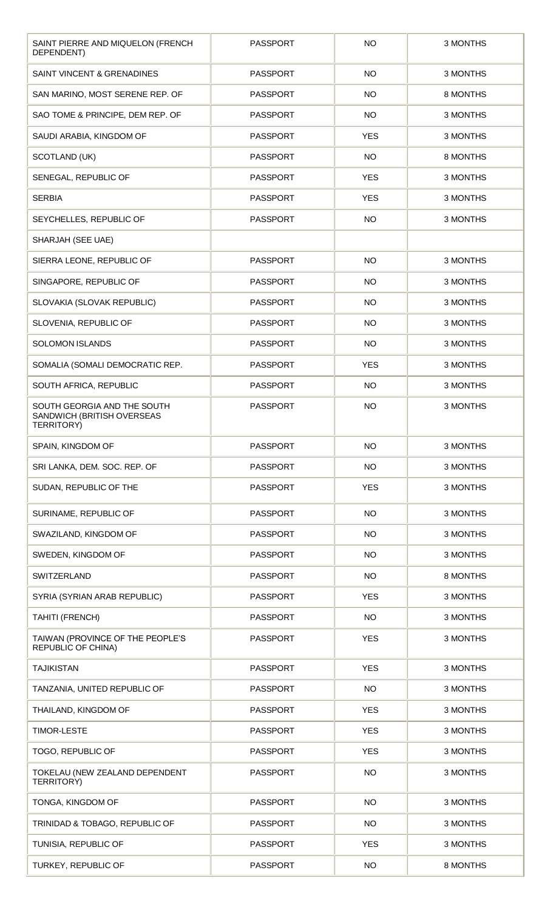| SAINT PIERRE AND MIQUELON (FRENCH<br>DEPENDENT)                                | <b>PASSPORT</b> | <b>NO</b>  | 3 MONTHS |
|--------------------------------------------------------------------------------|-----------------|------------|----------|
| SAINT VINCENT & GRENADINES                                                     | <b>PASSPORT</b> | <b>NO</b>  | 3 MONTHS |
| SAN MARINO, MOST SERENE REP. OF                                                | <b>PASSPORT</b> | <b>NO</b>  | 8 MONTHS |
| SAO TOME & PRINCIPE, DEM REP. OF                                               | <b>PASSPORT</b> | <b>NO</b>  | 3 MONTHS |
| SAUDI ARABIA, KINGDOM OF                                                       | <b>PASSPORT</b> | <b>YES</b> | 3 MONTHS |
| SCOTLAND (UK)                                                                  | <b>PASSPORT</b> | <b>NO</b>  | 8 MONTHS |
| SENEGAL, REPUBLIC OF                                                           | <b>PASSPORT</b> | <b>YES</b> | 3 MONTHS |
| <b>SERBIA</b>                                                                  | <b>PASSPORT</b> | <b>YES</b> | 3 MONTHS |
| SEYCHELLES, REPUBLIC OF                                                        | <b>PASSPORT</b> | <b>NO</b>  | 3 MONTHS |
| SHARJAH (SEE UAE)                                                              |                 |            |          |
| SIERRA LEONE, REPUBLIC OF                                                      | <b>PASSPORT</b> | <b>NO</b>  | 3 MONTHS |
| SINGAPORE, REPUBLIC OF                                                         | <b>PASSPORT</b> | <b>NO</b>  | 3 MONTHS |
| SLOVAKIA (SLOVAK REPUBLIC)                                                     | <b>PASSPORT</b> | <b>NO</b>  | 3 MONTHS |
| SLOVENIA, REPUBLIC OF                                                          | <b>PASSPORT</b> | <b>NO</b>  | 3 MONTHS |
| <b>SOLOMON ISLANDS</b>                                                         | <b>PASSPORT</b> | <b>NO</b>  | 3 MONTHS |
| SOMALIA (SOMALI DEMOCRATIC REP.                                                | <b>PASSPORT</b> | <b>YES</b> | 3 MONTHS |
| SOUTH AFRICA, REPUBLIC                                                         | <b>PASSPORT</b> | <b>NO</b>  | 3 MONTHS |
| SOUTH GEORGIA AND THE SOUTH<br>SANDWICH (BRITISH OVERSEAS<br><b>TERRITORY)</b> | <b>PASSPORT</b> | <b>NO</b>  | 3 MONTHS |
| SPAIN, KINGDOM OF                                                              | <b>PASSPORT</b> | <b>NO</b>  | 3 MONTHS |
| SRI LANKA, DEM. SOC. REP. OF                                                   | <b>PASSPORT</b> | <b>NO</b>  | 3 MONTHS |
| SUDAN, REPUBLIC OF THE                                                         | <b>PASSPORT</b> | <b>YES</b> | 3 MONTHS |
| SURINAME, REPUBLIC OF                                                          | <b>PASSPORT</b> | <b>NO</b>  | 3 MONTHS |
| SWAZILAND, KINGDOM OF                                                          | <b>PASSPORT</b> | <b>NO</b>  | 3 MONTHS |
| SWEDEN, KINGDOM OF                                                             | <b>PASSPORT</b> | <b>NO</b>  | 3 MONTHS |
| SWITZERLAND                                                                    | <b>PASSPORT</b> | <b>NO</b>  | 8 MONTHS |
| SYRIA (SYRIAN ARAB REPUBLIC)                                                   | <b>PASSPORT</b> | <b>YES</b> | 3 MONTHS |
| TAHITI (FRENCH)                                                                | <b>PASSPORT</b> | <b>NO</b>  | 3 MONTHS |
| TAIWAN (PROVINCE OF THE PEOPLE'S<br><b>REPUBLIC OF CHINA)</b>                  | <b>PASSPORT</b> | <b>YES</b> | 3 MONTHS |
| <b>TAJIKISTAN</b>                                                              | <b>PASSPORT</b> | <b>YES</b> | 3 MONTHS |
| TANZANIA, UNITED REPUBLIC OF                                                   | <b>PASSPORT</b> | <b>NO</b>  | 3 MONTHS |
| THAILAND, KINGDOM OF                                                           | <b>PASSPORT</b> | <b>YES</b> | 3 MONTHS |
| <b>TIMOR-LESTE</b>                                                             | <b>PASSPORT</b> | <b>YES</b> | 3 MONTHS |
| TOGO, REPUBLIC OF                                                              | <b>PASSPORT</b> | <b>YES</b> | 3 MONTHS |
| TOKELAU (NEW ZEALAND DEPENDENT<br><b>TERRITORY)</b>                            | <b>PASSPORT</b> | <b>NO</b>  | 3 MONTHS |
| TONGA, KINGDOM OF                                                              | <b>PASSPORT</b> | <b>NO</b>  | 3 MONTHS |
| TRINIDAD & TOBAGO, REPUBLIC OF                                                 | <b>PASSPORT</b> | <b>NO</b>  | 3 MONTHS |
| TUNISIA, REPUBLIC OF                                                           | PASSPORT        | <b>YES</b> | 3 MONTHS |
| TURKEY, REPUBLIC OF                                                            | <b>PASSPORT</b> | <b>NO</b>  | 8 MONTHS |